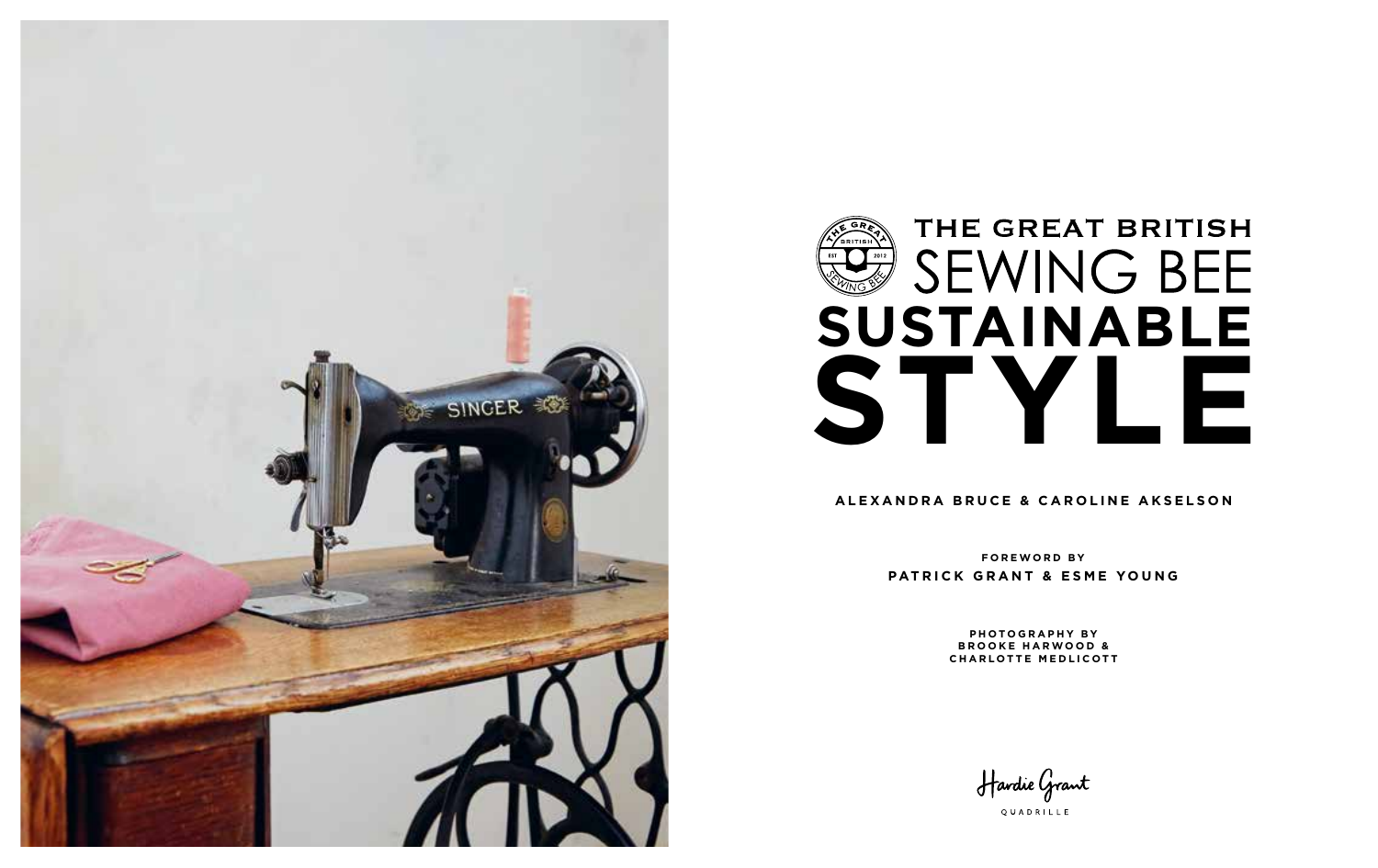



**F O R E W O R D B Y PATRICK GRANT & ESME YOUNG**

**ALEXANDRA BRUCE & CAROLINE AKSELSON**

**P H O T O G R A P H Y B Y B R O O K E H A R W O O D & CHARLOTTE MEDLICOTT**

Hardie Grant

QUADRILLE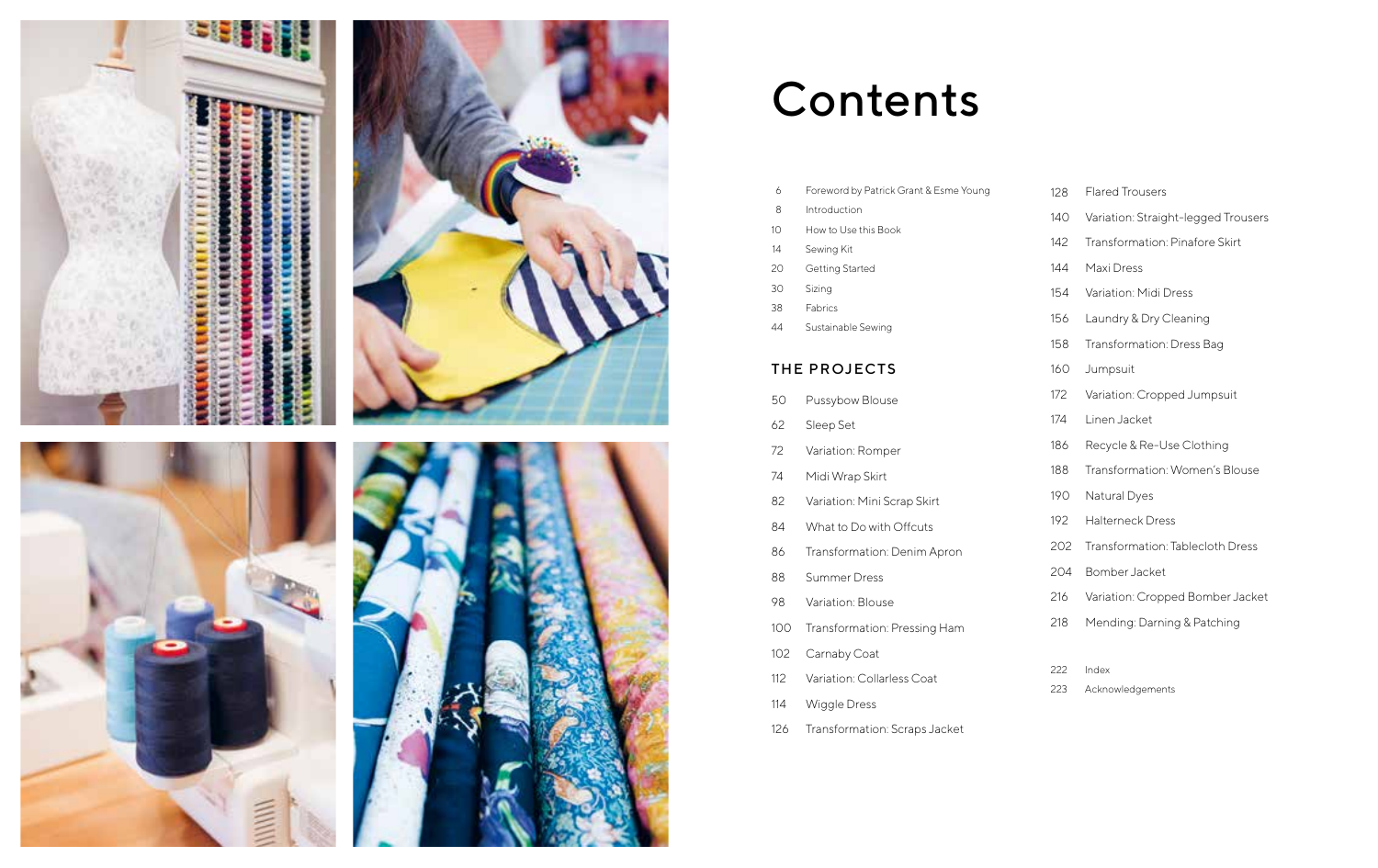





# Contents

| 6            | Foreword by Patrick Grant & Esme Young | 128        |  |  |
|--------------|----------------------------------------|------------|--|--|
| 8            | Introduction                           | 140        |  |  |
| 10           | How to Use this Book                   | 142        |  |  |
| 14           | Sewing Kit                             |            |  |  |
| 20           | Getting Started                        | 144        |  |  |
| 30           | Sizing                                 | 154        |  |  |
| 38           | Fabrics                                | 156        |  |  |
| 44           | Sustainable Sewing                     | 158        |  |  |
| THE PROJECTS |                                        |            |  |  |
| 50           | Pussybow Blouse                        | 172        |  |  |
| 62           | Sleep Set                              | 174        |  |  |
| 72           | Variation: Romper                      | 186        |  |  |
| 74           | Midi Wrap Skirt                        | 188        |  |  |
| 82           | Variation: Mini Scrap Skirt            | 190        |  |  |
| 84           | What to Do with Offcuts                | 192        |  |  |
| 86           | Transformation: Denim Apron            | 202        |  |  |
| 88           | <b>Summer Dress</b>                    | 204        |  |  |
| 98           | Variation: Blouse                      | 216        |  |  |
| 100          | Transformation: Pressing Ham           | 218        |  |  |
| 102          | Carnaby Coat                           |            |  |  |
| 112          | Variation: Collarless Coat             | 222<br>223 |  |  |
| 114          | <b>Wiggle Dress</b>                    |            |  |  |
| 126          | Transformation: Scraps Jacket          |            |  |  |

- Flared Trousers Variation: Straight-legged Trousers Transformation: Pinafore Skirt
- Maxi Dress
- Variation: Midi Dress
- Laundry & Dry Cleaning
- Transformation: Dress Bag
- Jumpsuit
- Variation: Cropped Jumpsuit
- Linen Jacket
- Recycle & Re-Use Clothing
- Transformation: Women's Blouse
- Natural Dyes
- Halterneck Dress
- Transformation: Tablecloth Dress
- Bomber Jacket
- Variation: Cropped Bomber Jacket
- Mending: Darning & Patching

Index

Acknowledgements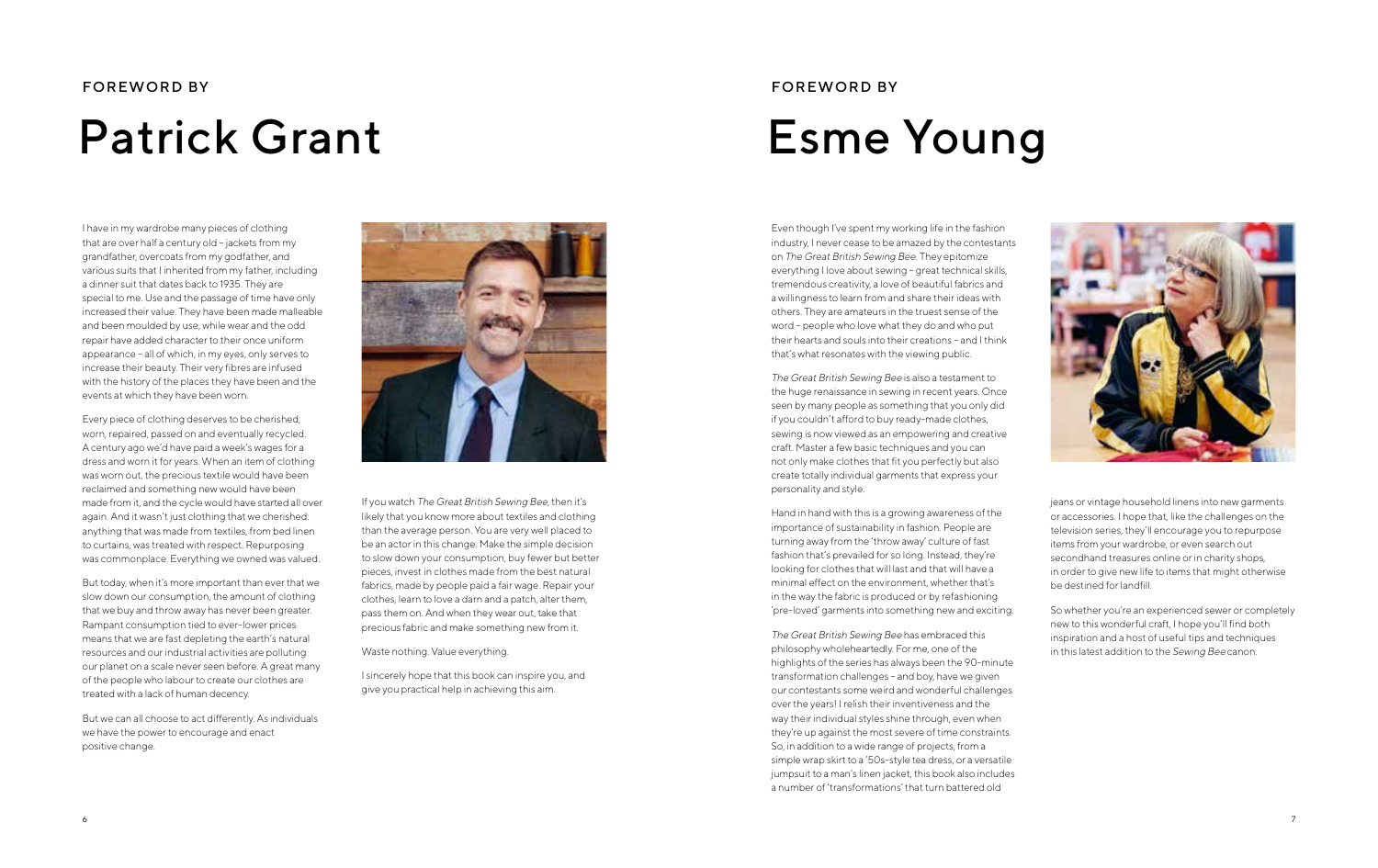## FOREWORD BY

# Esme Young

## FOREWORD BY

# Patrick Grant

Even though I've spent my working life in the fashion industry, I never cease to be amazed by the contestants on The Great British Sewing Bee. They epitomize everything I love about sewing – great technical skills, tremendous creativity, a love of beautiful fabrics and a willingness to learn from and share their ideas with others. They are amateurs in the truest sense of the word – people who love what they do and who put their hearts and souls into their creations – and I think that's what resonates with the viewing public.

The Great British Sewing Bee is also a testament to the huge renaissance in sewing in recent years. Once seen by many people as something that you only did if you couldn't afford to buy ready-made clothes, sewing is now viewed as an empowering and creative craft. Master a few basic techniques and you can not only make clothes that fit you perfectly but also create totally individual garments that express your personality and style.

Hand in hand with this is a growing awareness of the importance of sustainability in fashion. People are turning away from the 'throw away' culture of fast fashion that's prevailed for so long. Instead, they're looking for clothes that will last and that will have a minimal effect on the environment, whether that's in the way the fabric is produced or by refashioning 'pre-loved' garments into something new and exciting.

The Great British Sewing Bee has embraced this philosophy wholeheartedly. For me, one of the highlights of the series has always been the 90-minute transformation challenges – and boy, have we given our contestants some weird and wonderful challenges over the years! I relish their inventiveness and the way their individual styles shine through, even when they're up against the most severe of time constraints. So, in addition to a wide range of projects, from a simple wrap skirt to a '50s-style tea dress, or a versatile jumpsuit to a man's linen jacket, this book also includes a number of 'transformations' that turn battered old

jeans or vintage household linens into new garments or accessories. I hope that, like the challenges on the television series, they'll encourage you to repurpose items from your wardrobe, or even search out secondhand treasures online or in charity shops, in order to give new life to items that might otherwise be destined for landfill.



So whether you're an experienced sewer or completely new to this wonderful craft, I hope you'll find both inspiration and a host of useful tips and techniques in this latest addition to the Sewing Bee canon.

I have in my wardrobe many pieces of clothing that are over half a century old – jackets from my grandfather, overcoats from my godfather, and various suits that I inherited from my father, including a dinner suit that dates back to 1935. They are special to me. Use and the passage of time have only increased their value. They have been made malleable and been moulded by use, while wear and the odd repair have added character to their once uniform appearance – all of which, in my eyes, only serves to increase their beauty. Their very fibres are infused with the history of the places they have been and the events at which they have been worn.

Every piece of clothing deserves to be cherished; worn, repaired, passed on and eventually recycled. A century ago we'd have paid a week's wages for a dress and worn it for years. When an item of clothing was worn out, the precious textile would have been reclaimed and something new would have been made from it, and the cycle would have started all over again. And it wasn't just clothing that we cherished: anything that was made from textiles, from bed linen to curtains, was treated with respect. Repurposing was commonplace. Everything we owned was valued.

But today, when it's more important than ever that we slow down our consumption, the amount of clothing that we buy and throw away has never been greater. Rampant consumption tied to ever-lower prices means that we are fast depleting the earth's natural resources and our industrial activities are polluting our planet on a scale never seen before. A great many of the people who labour to create our clothes are treated with a lack of human decency.

But we can all choose to act differently. As individuals we have the power to encourage and enact positive change.



If you watch The Great British Sewing Bee, then it's likely that you know more about textiles and clothing than the average person. You are very well placed to be an actor in this change. Make the simple decision to slow down your consumption, buy fewer but better pieces, invest in clothes made from the best natural fabrics, made by people paid a fair wage. Repair your clothes, learn to love a darn and a patch, alter them, pass them on. And when they wear out, take that precious fabric and make something new from it.

Waste nothing. Value everything.

I sincerely hope that this book can inspire you, and give you practical help in achieving this aim.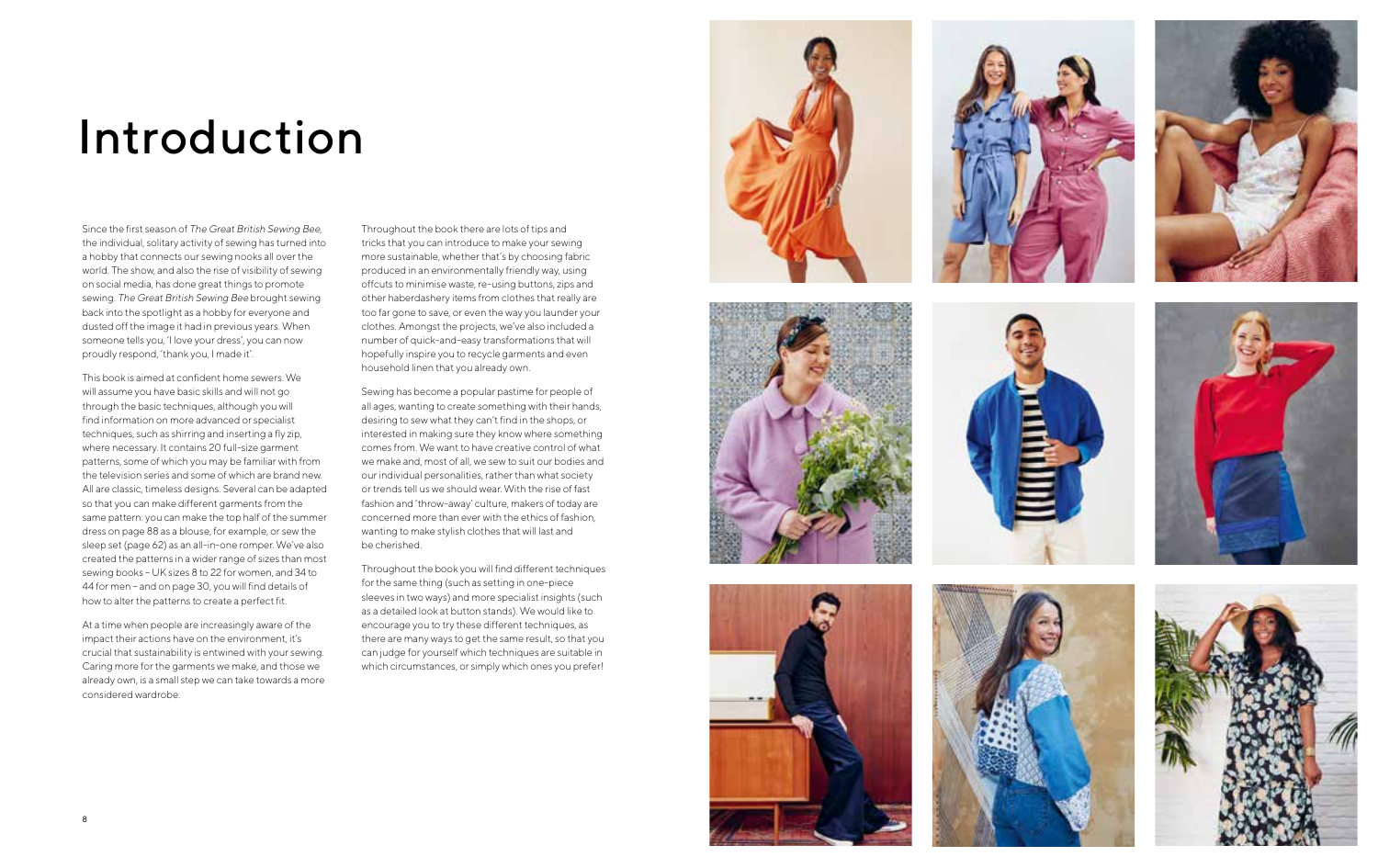









# Introduction

Since the first season of The Great British Sewing Bee, the individual, solitary activity of sewing has turned into a hobby that connects our sewing nooks all over the world. The show, and also the rise of visibility of sewing on social media, has done great things to promote sewing. The Great British Sewing Bee brought sewing back into the spotlight as a hobby for everyone and dusted off the image it had in previous years. When someone tells you, 'I love your dress', you can now proudly respond, 'thank you, I made it'.

This book is aimed at confident home sewers. We will assume you have basic skills and will not go through the basic techniques, although you will find information on more advanced or specialist techniques, such as shirring and inserting a fly zip, where necessary. It contains 20 full-size garment patterns, some of which you may be familiar with from the television series and some of which are brand new. All are classic, timeless designs. Several can be adapted so that you can make different garments from the same pattern: you can make the top half of the summer dress on page 88 as a blouse, for example, or sew the sleep set (page 62) as an all-in-one romper. We've also created the patterns in a wider range of sizes than most sewing books – UK sizes 8 to 22 for women, and 34 to 44 for men – and on page 30, you will find details of how to alter the patterns to create a perfect fit.

At a time when people are increasingly aware of the impact their actions have on the environment, it's crucial that sustainability is entwined with your sewing. Caring more for the garments we make, and those we already own, is a small step we can take towards a more considered wardrobe.

Throughout the book there are lots of tips and tricks that you can introduce to make your sewing more sustainable, whether that's by choosing fabric produced in an environmentally friendly way, using offcuts to minimise waste, re-using buttons, zips and other haberdashery items from clothes that really are too far gone to save, or even the way you launder your clothes. Amongst the projects, we've also included a number of quick-and-easy transformations that will hopefully inspire you to recycle garments and even household linen that you already own.

Sewing has become a popular pastime for people of all ages, wanting to create something with their hands, desiring to sew what they can't find in the shops, or interested in making sure they know where something comes from. We want to have creative control of what we make and, most of all, we sew to suit our bodies and our individual personalities, rather than what society or trends tell us we should wear. With the rise of fast fashion and 'throw-away' culture, makers of today are concerned more than ever with the ethics of fashion, wanting to make stylish clothes that will last and be cherished.

Throughout the book you will find different techniques for the same thing (such as setting in one-piece sleeves in two ways) and more specialist insights (such as a detailed look at button stands). We would like to encourage you to try these different techniques, as there are many ways to get the same result, so that you can judge for yourself which techniques are suitable in which circumstances, or simply which ones you prefer!









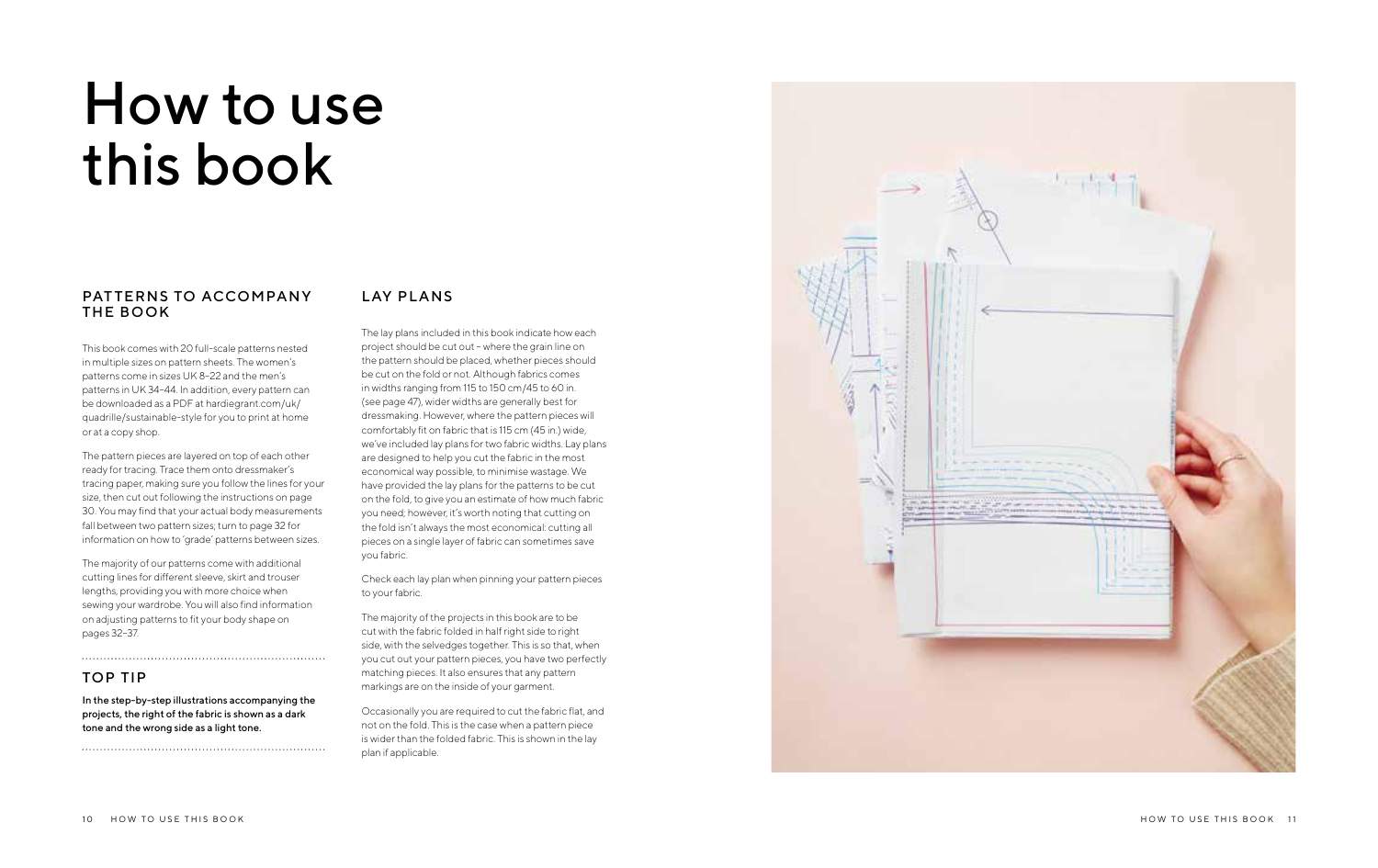## PATTERNS TO ACCOMPANY THE BOOK

# How to use this book

This book comes with 20 full-scale patterns nested in multiple sizes on pattern sheets. The women's patterns come in sizes UK 8–22 and the men's patterns in UK 34–44. In addition, every pattern can be downloaded as a PDF at hardiegrant.com/uk/ quadrille/sustainable-style for you to print at home or at a copy shop.

The pattern pieces are layered on top of each other ready for tracing. Trace them onto dressmaker's tracing paper, making sure you follow the lines for your size, then cut out following the instructions on page 30. You may find that your actual body measurements fall between two pattern sizes; turn to page 32 for information on how to 'grade' patterns between sizes.

The majority of our patterns come with additional cutting lines for different sleeve, skirt and trouser lengths, providing you with more choice when sewing your wardrobe. You will also find information on adjusting patterns to fit your body shape on pages 32–37.

## TOP TIP

In the step-by-step illustrations accompanying the projects, the right of the fabric is shown as a dark tone and the wrong side as a light tone.

## LAY PLANS

The lay plans included in this book indicate how each project should be cut out – where the grain line on the pattern should be placed, whether pieces should be cut on the fold or not. Although fabrics comes in widths ranging from 115 to 150 cm/45 to 60 in. (see page 47), wider widths are generally best for dressmaking. However, where the pattern pieces will comfortably fit on fabric that is 115 cm (45 in.) wide, we've included lay plans for two fabric widths. Lay plans are designed to help you cut the fabric in the most economical way possible, to minimise wastage. We have provided the lay plans for the patterns to be cut on the fold, to give you an estimate of how much fabric you need; however, it's worth noting that cutting on the fold isn't always the most economical: cutting all pieces on a single layer of fabric can sometimes save you fabric.

Check each lay plan when pinning your pattern pieces to your fabric.

The majority of the projects in this book are to be cut with the fabric folded in half right side to right side, with the selvedges together. This is so that, when you cut out your pattern pieces, you have two perfectly matching pieces. It also ensures that any pattern markings are on the inside of your garment.

Occasionally you are required to cut the fabric flat, and not on the fold. This is the case when a pattern piece is wider than the folded fabric. This is shown in the lay plan if applicable.

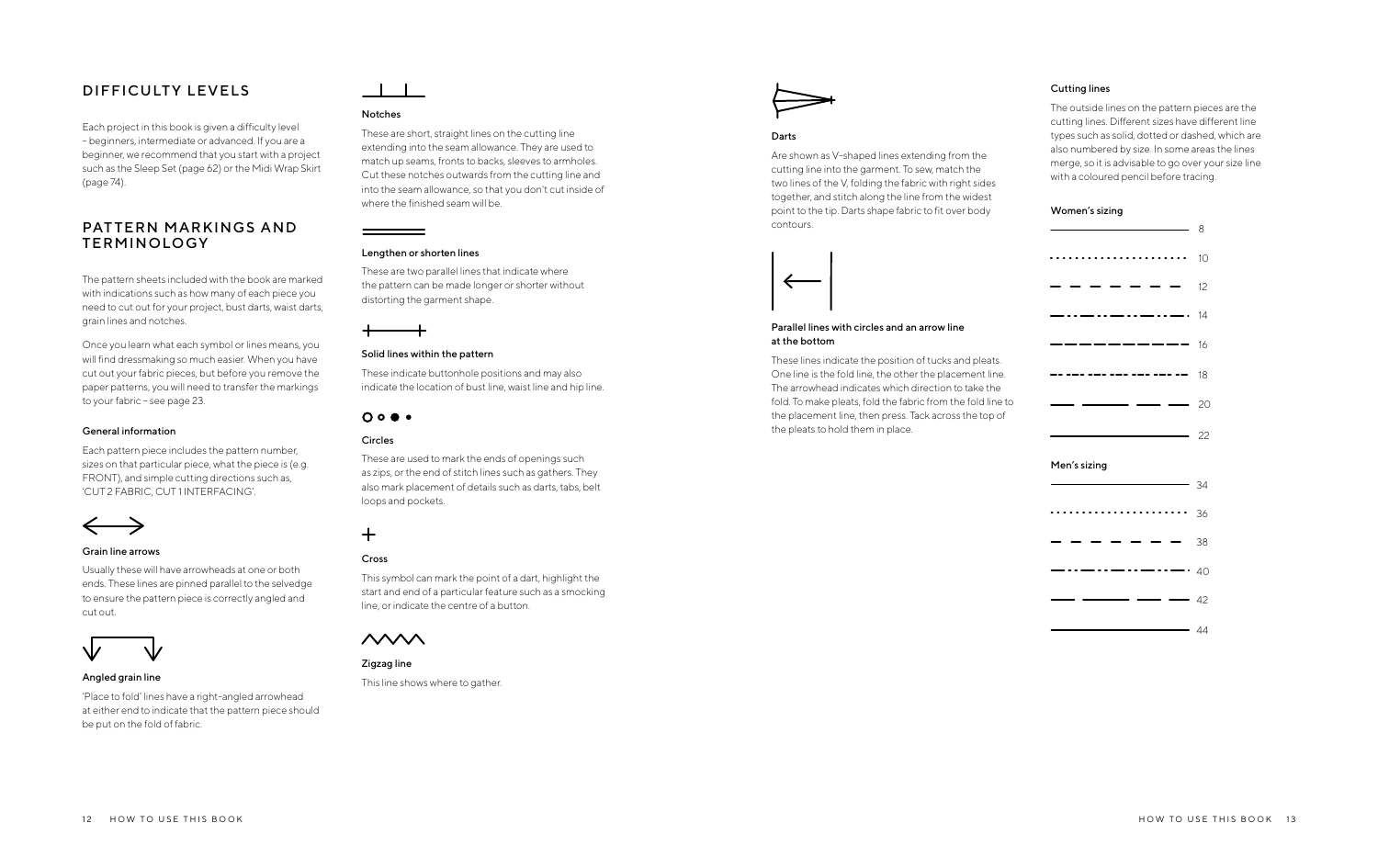#### Darts

Are shown as V-shaped lines extending from the cutting line into the garment. To sew, match the two lines of the V, folding the fabric with right sides together, and stitch along the line from the widest point to the tip. Darts shape fabric to fit over body contours.



#### Parallel lines with circles and an arrow line at the bottom

These lines indicate the position of tucks and pleats. One line is the fold line, the other the placement line. The arrowhead indicates which direction to take the fold. To make pleats, fold the fabric from the fold line to the placement line, then press. Tack across the top of the pleats to hold them in place.

# DIFFICULTY LEVELS

Each project in this book is given a difficulty level – beginners, intermediate or advanced. If you are a beginner, we recommend that you start with a project such as the Sleep Set (page 62) or the Midi Wrap Skirt (page 74).

## PATTERN MARKINGS AND **TERMINOLOGY**

The pattern sheets included with the book are marked with indications such as how many of each piece you need to cut out for your project, bust darts, waist darts, grain lines and notches.

Once you learn what each symbol or lines means, you will find dressmaking so much easier. When you have cut out your fabric pieces, but before you remove the paper patterns, you will need to transfer the markings to your fabric – see page 23.

#### General information

Each pattern piece includes the pattern number, sizes on that particular piece, what the piece is (e.g. FRONT), and simple cutting directions such as, 'CUT 2 FABRIC, CUT 1 INTERFACING'.



#### Grain line arrows

Usually these will have arrowheads at one or both ends. These lines are pinned parallel to the selvedge to ensure the pattern piece is correctly angled and cut out.



#### Angled grain line

'Place to fold' lines have a right-angled arrowhead at either end to indicate that the pattern piece should be put on the fold of fabric.



### Notches

These are short, straight lines on the cutting line extending into the seam allowance. They are used to match up seams, fronts to backs, sleeves to armholes. Cut these notches outwards from the cutting line and into the seam allowance, so that you don't cut inside of where the finished seam will be.

#### Lengthen or shorten lines

These are two parallel lines that indicate where the pattern can be made longer or shorter without distorting the garment shape.

## Solid lines within the pattern

These indicate buttonhole positions and may also indicate the location of bust line, waist line and hip line.

## $\bigcap$   $\bigcirc$   $\bullet$   $\bullet$

## Circles

These are used to mark the ends of openings such as zips, or the end of stitch lines such as gathers. They also mark placement of details such as darts, tabs, belt loops and pockets.

# $+$

## Cross

This symbol can mark the point of a dart, highlight the start and end of a particular feature such as a smocking line, or indicate the centre of a button.

 $\sim\sim\sim$ 

## Zigzag line

This line shows where to gather.

|                                                        | 8  |  |  |  |  |
|--------------------------------------------------------|----|--|--|--|--|
|                                                        | 10 |  |  |  |  |
|                                                        | 12 |  |  |  |  |
| $\overline{\phantom{0}}$                               | 14 |  |  |  |  |
| . — .<br>$\overline{\phantom{a}}$                      | 16 |  |  |  |  |
| .,<br>j                                                | 18 |  |  |  |  |
|                                                        | 20 |  |  |  |  |
|                                                        | 22 |  |  |  |  |
| Men's sizing                                           |    |  |  |  |  |
|                                                        | 34 |  |  |  |  |
| $\bullet$                                              | 36 |  |  |  |  |
|                                                        | 38 |  |  |  |  |
| $\overline{\phantom{a}}$ .<br>$\overline{\phantom{0}}$ | 40 |  |  |  |  |
|                                                        | 42 |  |  |  |  |
|                                                        | 44 |  |  |  |  |

#### Women's sizing

#### Cutting lines

The outside lines on the pattern pieces are the cutting lines. Different sizes have different line types such as solid, dotted or dashed, which are also numbered by size. In some areas the lines merge, so it is advisable to go over your size line with a coloured pencil before tracing.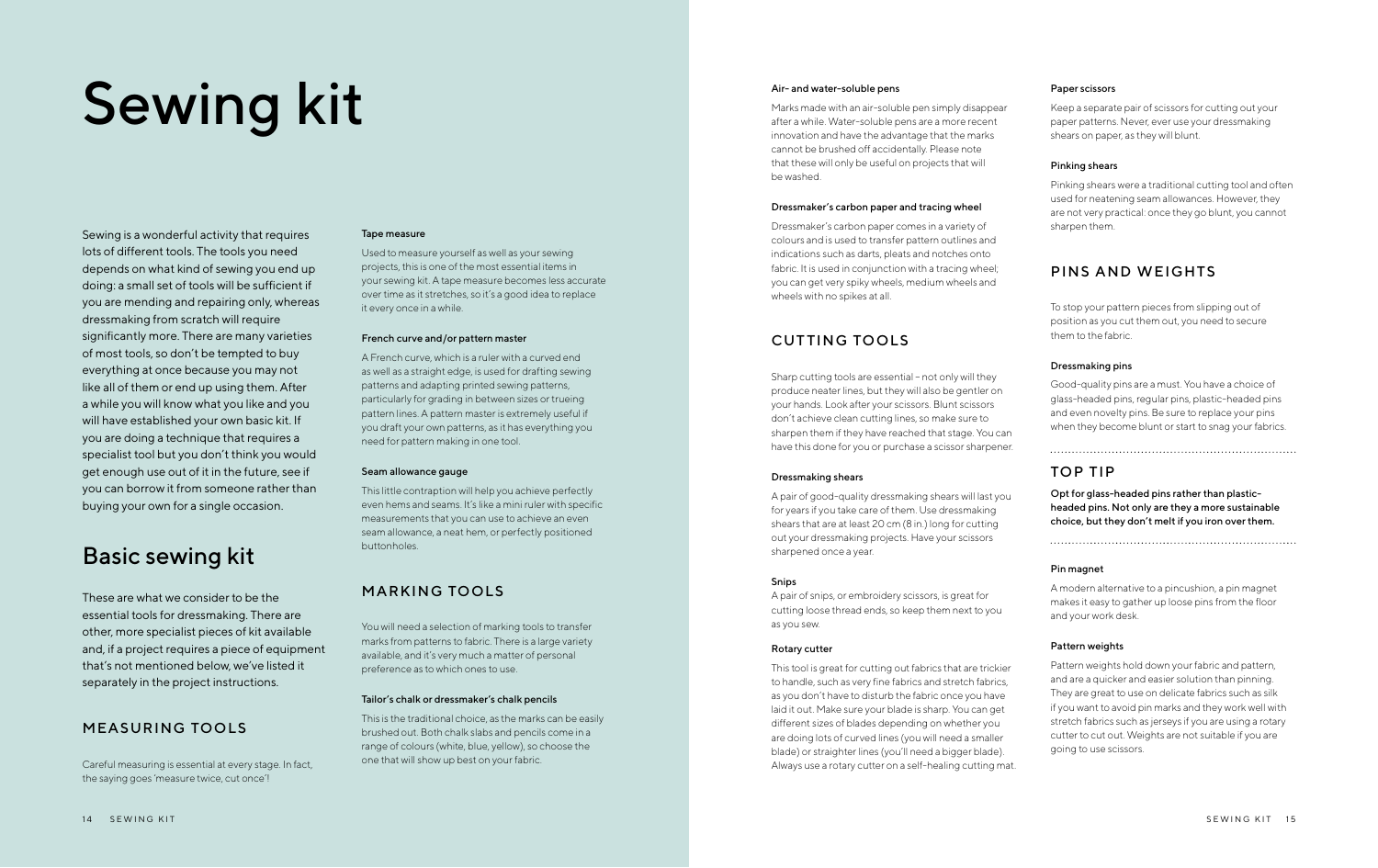# Sewing kit

Sewing is a wonderful activity that requires lots of different tools. The tools you need depends on what kind of sewing you end up doing: a small set of tools will be sufficient if you are mending and repairing only, whereas dressmaking from scratch will require significantly more. There are many varieties of most tools, so don't be tempted to buy everything at once because you may not like all of them or end up using them. After a while you will know what you like and you will have established your own basic kit. If you are doing a technique that requires a specialist tool but you don't think you would get enough use out of it in the future, see if you can borrow it from someone rather than buying your own for a single occasion.

# Basic sewing kit

These are what we consider to be the essential tools for dressmaking. There are other, more specialist pieces of kit available and, if a project requires a piece of equipment that's not mentioned below, we've listed it separately in the project instructions.

## MEASURING TOOLS

Careful measuring is essential at every stage. In fact, the saying goes 'measure twice, cut once'!

#### Tape measure

Used to measure yourself as well as your sewing projects, this is one of the most essential items in your sewing kit. A tape measure becomes less accurate over time as it stretches, so it's a good idea to replace it every once in a while.

#### French curve and/or pattern master

A French curve, which is a ruler with a curved end as well as a straight edge, is used for drafting sewing patterns and adapting printed sewing patterns, particularly for grading in between sizes or trueing pattern lines. A pattern master is extremely useful if you draft your own patterns, as it has everything you need for pattern making in one tool.

#### Seam allowance gauge

This little contraption will help you achieve perfectly even hems and seams. It's like a mini ruler with specific measurements that you can use to achieve an even seam allowance, a neat hem, or perfectly positioned buttonholes.

## MARKING TOOLS

You will need a selection of marking tools to transfer marks from patterns to fabric. There is a large variety available, and it's very much a matter of personal preference as to which ones to use.

#### Tailor's chalk or dressmaker's chalk pencils

This is the traditional choice, as the marks can be easily brushed out. Both chalk slabs and pencils come in a range of colours (white, blue, yellow), so choose the one that will show up best on your fabric.

#### Air- and water-soluble pens

Marks made with an air-soluble pen simply disappear after a while. Water-soluble pens are a more recent innovation and have the advantage that the marks cannot be brushed off accidentally. Please note that these will only be useful on projects that will be washed.

#### Dressmaker's carbon paper and tracing wheel

Dressmaker's carbon paper comes in a variety of colours and is used to transfer pattern outlines and indications such as darts, pleats and notches onto fabric. It is used in conjunction with a tracing wheel; you can get very spiky wheels, medium wheels and wheels with no spikes at all.

CUTTING TOOLS

Sharp cutting tools are essential – not only will they produce neater lines, but they will also be gentler on your hands. Look after your scissors. Blunt scissors don't achieve clean cutting lines, so make sure to sharpen them if they have reached that stage. You can have this done for you or purchase a scissor sharpener.

Dressmaking shears

A pair of good-quality dressmaking shears will last you for years if you take care of them. Use dressmaking shears that are at least 20 cm (8 in.) long for cutting out your dressmaking projects. Have your scissors

sharpened once a year.

Snips

A pair of snips, or embroidery scissors, is great for cutting loose thread ends, so keep them next to you

as you sew.

Rotary cutter

This tool is great for cutting out fabrics that are trickier to handle, such as very fine fabrics and stretch fabrics, as you don't have to disturb the fabric once you have laid it out. Make sure your blade is sharp. You can get different sizes of blades depending on whether you are doing lots of curved lines (you will need a smaller blade) or straighter lines (you'll need a bigger blade). Always use a rotary cutter on a self-healing cutting mat.

### Paper scissors

Keep a separate pair of scissors for cutting out your paper patterns. Never, ever use your dressmaking shears on paper, as they will blunt.

#### Pinking shears

Pinking shears were a traditional cutting tool and often used for neatening seam allowances. However, they are not very practical: once they go blunt, you cannot sharpen them.

# PINS AND WEIGHTS

To stop your pattern pieces from slipping out of position as you cut them out, you need to secure them to the fabric.

### Dressmaking pins

Good-quality pins are a must. You have a choice of glass-headed pins, regular pins, plastic-headed pins and even novelty pins. Be sure to replace your pins when they become blunt or start to snag your fabrics.

### TOP TIP

Opt for glass-headed pins rather than plasticheaded pins. Not only are they a more sustainable choice, but they don't melt if you iron over them.

#### Pin magnet

A modern alternative to a pincushion, a pin magnet makes it easy to gather up loose pins from the floor and your work desk.

## Pattern weights

Pattern weights hold down your fabric and pattern, and are a quicker and easier solution than pinning. They are great to use on delicate fabrics such as silk if you want to avoid pin marks and they work well with stretch fabrics such as jerseys if you are using a rotary cutter to cut out. Weights are not suitable if you are going to use scissors.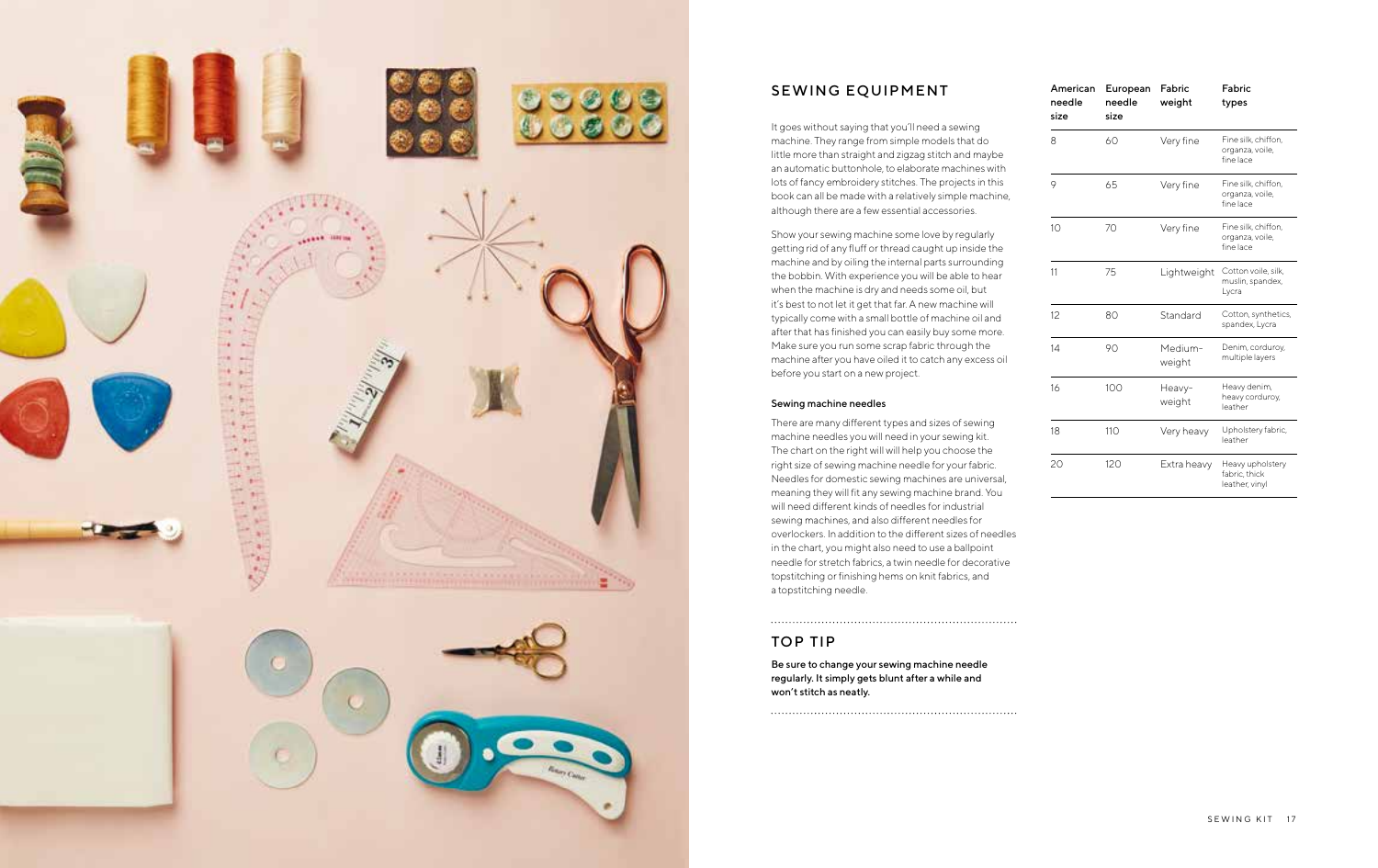

## SEWING EQUIPMENT

It goes without saying that you'll need a sewing machine. They range from simple models that do little more than straight and zigzag stitch and maybe an automatic buttonhole, to elaborate machines with lots of fancy embroidery stitches. The projects in this book can all be made with a relatively simple machine, although there are a few essential accessories.

Show your sewing machine some love by regularly getting rid of any fluff or thread caught up inside the machine and by oiling the internal parts surrounding the bobbin. With experience you will be able to hear when the machine is dry and needs some oil, but it's best to not let it get that far. A new machine will typically come with a small bottle of machine oil and after that has finished you can easily buy some more. Make sure you run some scrap fabric through the machine after you have oiled it to catch any excess oil before you start on a new project.

America needle size

#### Sewing machine needles

There are many different types and sizes of sewing machine needles you will need in your sewing kit. The chart on the right will will help you choose the right size of sewing machine needle for your fabric. Needles for domestic sewing machines are universal, meaning they will fit any sewing machine brand. You will need different kinds of needles for industrial sewing machines, and also different needles for overlockers. In addition to the different sizes of needles in the chart, you might also need to use a ballpoint needle for stretch fabrics, a twin needle for decorative topstitching or finishing hems on knit fabrics, and a topstitching needle.

## TOP TIP

Be sure to change your sewing machine needle regularly. It simply gets blunt after a while and won't stitch as neatly.

| American<br>needle<br>size | European<br>needle<br>size | Fabric<br>weight  | Fabric<br>types                                     |
|----------------------------|----------------------------|-------------------|-----------------------------------------------------|
| 8                          | 60                         | Very fine         | Fine silk, chiffon,<br>organza, voile,<br>fine lace |
| 9                          | 65                         | Very fine         | Fine silk, chiffon,<br>organza, voile,<br>fine lace |
| 10                         | 70                         | Very fine         | Fine silk, chiffon,<br>organza, voile,<br>fine lace |
| 11                         | 75                         | Lightweight       | Cotton voile, silk,<br>muslin, spandex,<br>Lycra    |
| 12                         | 80                         | Standard          | Cotton, synthetics,<br>spandex, Lycra               |
| 14                         | 90                         | Medium-<br>weight | Denim, corduroy,<br>multiple layers                 |
| 16                         | 100                        | Heavy-<br>weight  | Heavy denim,<br>heavy corduroy,<br>leather          |
| 18                         | 110                        | Very heavy        | Upholstery fabric,<br>leather                       |
| 20                         | 120                        | Extra heavy       | Heavy upholstery<br>fabric, thick<br>leather, vinyl |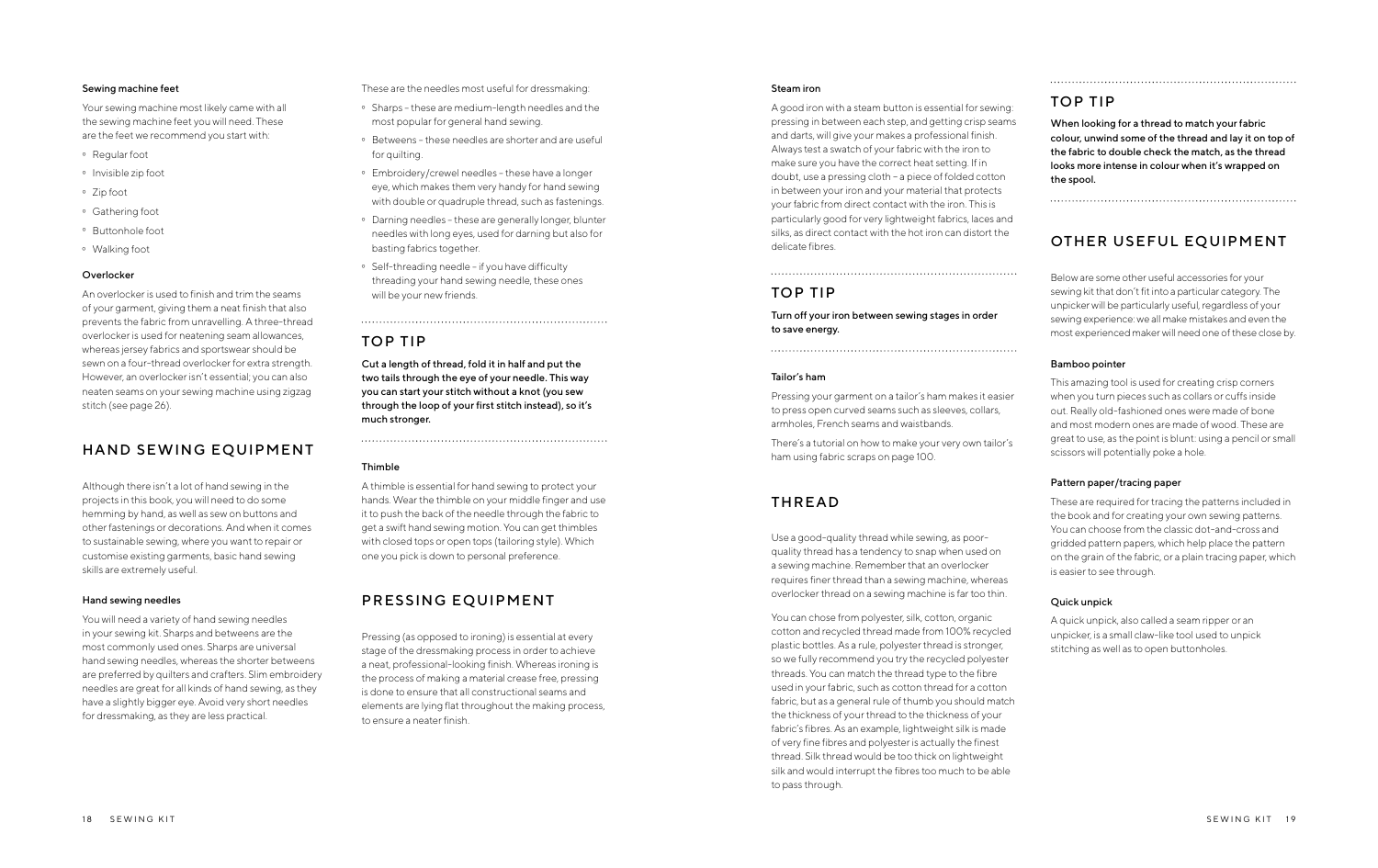#### Sewing machine feet

Your sewing machine most likely came with all the sewing machine feet you will need. These are the feet we recommend you start with:

- º Regular foot
- º Invisible zip foot
- º Zip foot
- º Gathering foot
- º Buttonhole foot
- º Walking foot

#### **Overlocker**

An overlocker is used to finish and trim the seams of your garment, giving them a neat finish that also prevents the fabric from unravelling. A three-thread overlocker is used for neatening seam allowances, whereas jersey fabrics and sportswear should be sewn on a four-thread overlocker for extra strength. However, an overlocker isn't essential; you can also neaten seams on your sewing machine using zigzag stitch (see page 26).

## HAND SEWING EQUIPMENT

Although there isn't a lot of hand sewing in the projects in this book, you will need to do some hemming by hand, as well as sew on buttons and other fastenings or decorations. And when it comes to sustainable sewing, where you want to repair or customise existing garments, basic hand sewing skills are extremely useful.

#### Hand sewing needles

You will need a variety of hand sewing needles in your sewing kit. Sharps and betweens are the most commonly used ones. Sharps are universal hand sewing needles, whereas the shorter betweens are preferred by quilters and crafters. Slim embroidery needles are great for all kinds of hand sewing, as they have a slightly bigger eye. Avoid very short needles for dressmaking, as they are less practical.

#### Steam iron

A good iron with a steam button is essential for sewing: pressing in between each step, and getting crisp seams and darts, will give your makes a professional finish. Always test a swatch of your fabric with the iron to make sure you have the correct heat setting. If in doubt, use a pressing cloth – a piece of folded cotton in between your iron and your material that protects your fabric from direct contact with the iron. This is particularly good for very lightweight fabrics, laces and silks, as direct contact with the hot iron can distort the delicate fibres.

# TOP TIP

Turn off your iron between sewing stages in order to save energy.

#### Tailor's ham

Pressing your garment on a tailor's ham makes it easier to press open curved seams such as sleeves, collars, armholes, French seams and waistbands.

There's a tutorial on how to make your very own tailor's ham using fabric scraps on page 100.

## **THREAD**

Use a good-quality thread while sewing, as poorquality thread has a tendency to snap when used on a sewing machine. Remember that an overlocker requires finer thread than a sewing machine, whereas overlocker thread on a sewing machine is far too thin.

You can chose from polyester, silk, cotton, organic cotton and recycled thread made from 100% recycled plastic bottles. As a rule, polyester thread is stronger, so we fully recommend you try the recycled polyester threads. You can match the thread type to the fibre used in your fabric, such as cotton thread for a cotton fabric, but as a general rule of thumb you should match the thickness of your thread to the thickness of your fabric's fibres. As an example, lightweight silk is made of very fine fibres and polyester is actually the finest thread. Silk thread would be too thick on lightweight silk and would interrupt the fibres too much to be able to pass through.

#### These are the needles most useful for dressmaking:

- º Sharps these are medium-length needles and the most popular for general hand sewing.
- º Betweens these needles are shorter and are useful for quilting.
- º Embroidery/crewel needles these have a longer eye, which makes them very handy for hand sewing with double or quadruple thread, such as fastenings.
- º Darning needles these are generally longer, blunter needles with long eyes, used for darning but also for basting fabrics together.
- º Self-threading needle if you have difficulty threading your hand sewing needle, these ones will be your new friends.

## TOP TIP

Cut a length of thread, fold it in half and put the two tails through the eye of your needle. This way you can start your stitch without a knot (you sew through the loop of your first stitch instead), so it's much stronger.

#### Thimble

A thimble is essential for hand sewing to protect your hands. Wear the thimble on your middle finger and use it to push the back of the needle through the fabric to get a swift hand sewing motion. You can get thimbles with closed tops or open tops (tailoring style). Which one you pick is down to personal preference.

## PRESSING EQUIPMENT

Pressing (as opposed to ironing) is essential at every stage of the dressmaking process in order to achieve a neat, professional-looking finish. Whereas ironing is the process of making a material crease free, pressing is done to ensure that all constructional seams and elements are lying flat throughout the making process, to ensure a neater finish.

## TOP TIP

When looking for a thread to match your fabric colour, unwind some of the thread and lay it on top of the fabric to double check the match, as the thread looks more intense in colour when it's wrapped on

the spool.

OTHER USEFUL EQUIPMENT

Below are some other useful accessories for your sewing kit that don't fit into a particular category. The unpicker will be particularly useful, regardless of your sewing experience: we all make mistakes and even the most experienced maker will need one of these close by.

## Bamboo pointer

This amazing tool is used for creating crisp corners when you turn pieces such as collars or cuffs inside out. Really old-fashioned ones were made of bone and most modern ones are made of wood. These are great to use, as the point is blunt: using a pencil or small scissors will potentially poke a hole.

### Pattern paper/tracing paper

These are required for tracing the patterns included in the book and for creating your own sewing patterns. You can choose from the classic dot-and-cross and gridded pattern papers, which help place the pattern on the grain of the fabric, or a plain tracing paper, which is easier to see through.

#### Quick unpick

A quick unpick, also called a seam ripper or an unpicker, is a small claw-like tool used to unpick stitching as well as to open buttonholes.